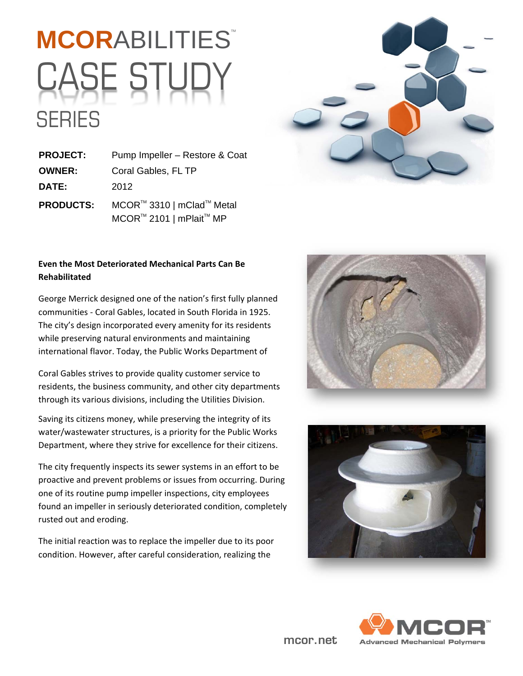### **MCORABILITIES** CASE STUD' SERIES



**PROJECT:** Pump Impeller – Restore & Coat **OWNER:** Coral Gables, FL TP **DATE:** 2012 **PRODUCTS:** MCOR™ 3310 | mClad™ Metal MCOR™ 2101 | mPlait<sup>™</sup> MP

#### **Even the Most Deteriorated Mechanical Parts Can Be Rehabilitated**

George Merrick designed one of the nation's first fully planned communities ‐ Coral Gables, located in South Florida in 1925. The city's design incorporated every amenity for its residents while preserving natural environments and maintaining international flavor. Today, the Public Works Department of

Coral Gables strives to provide quality customer service to residents, the business community, and other city departments through its various divisions, including the Utilities Division.

Saving its citizens money, while preserving the integrity of its water/wastewater structures, is a priority for the Public Works Department, where they strive for excellence for their citizens.

The city frequently inspects its sewer systems in an effort to be proactive and prevent problems or issues from occurring. During one of its routine pump impeller inspections, city employees found an impeller in seriously deteriorated condition, completely rusted out and eroding.

The initial reaction was to replace the impeller due to its poor condition. However, after careful consideration, realizing the







mcor.net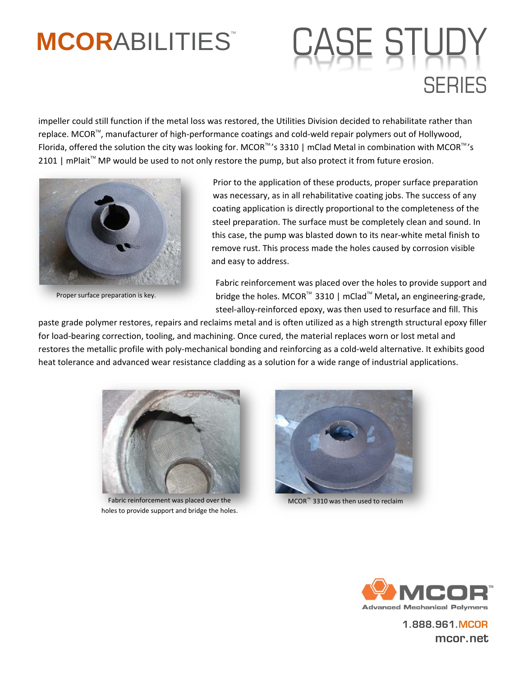## **MCORABILITIES** CASE STUDY SERIES

impeller could still function if the metal loss was restored, the Utilities Division decided to rehabilitate rather than replace. MCOR™, manufacturer of high-performance coatings and cold-weld repair polymers out of Hollywood, Florida, offered the solution the city was looking for. MCOR<sup>TM</sup>'s 3310 | mClad Metal in combination with MCOR<sup>TM</sup>'s 2101 | mPlait<sup>™</sup> MP would be used to not only restore the pump, but also protect it from future erosion.



Proper surface preparation is key.

Prior to the application of these products, proper surface preparation was necessary, as in all rehabilitative coating jobs. The success of any coating application is directly proportional to the completeness of the steel preparation. The surface must be completely clean and sound. In this case, the pump was blasted down to its near‐white metal finish to remove rust. This process made the holes caused by corrosion visible and easy to address.

Fabric reinforcement was placed over the holes to provide support and bridge the holes. MCOR<sup>™</sup> 3310 | mClad<sup>™</sup> Metal, an engineering-grade, steel-alloy-reinforced epoxy, was then used to resurface and fill. This

paste grade polymer restores, repairs and reclaims metal and is often utilized as a high strength structural epoxy filler for load‐bearing correction, tooling, and machining. Once cured, the material replaces worn or lost metal and restores the metallic profile with poly‐mechanical bonding and reinforcing as a cold‐weld alternative. It exhibits good heat tolerance and advanced wear resistance cladding as a solution for a wide range of industrial applications.



Fabric reinforcement was placed over the holes to provide support and bridge the holes.



 $MCOR^{m}$  3310 was then used to reclaim



1.888.961.MCOR mcor.net